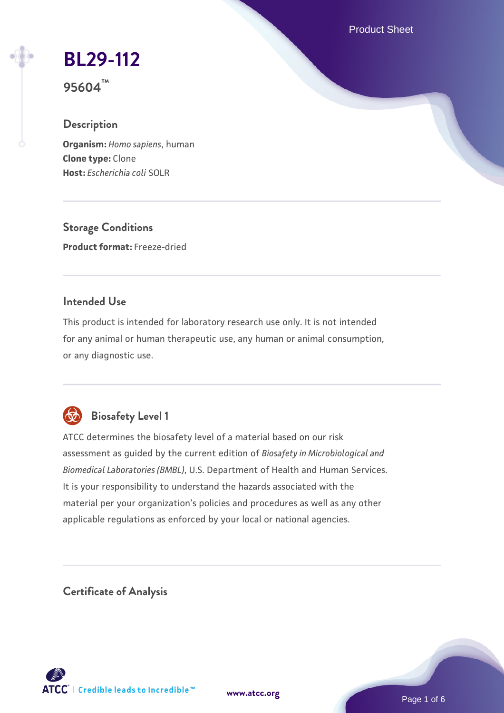Product Sheet

# **[BL29-112](https://www.atcc.org/products/95604)**

**95604™**

# **Description**

**Organism:** *Homo sapiens*, human **Clone type:** Clone **Host:** *Escherichia coli* SOLR

**Storage Conditions Product format:** Freeze-dried

# **Intended Use**

This product is intended for laboratory research use only. It is not intended for any animal or human therapeutic use, any human or animal consumption, or any diagnostic use.



# **Biosafety Level 1**

ATCC determines the biosafety level of a material based on our risk assessment as guided by the current edition of *Biosafety in Microbiological and Biomedical Laboratories (BMBL)*, U.S. Department of Health and Human Services. It is your responsibility to understand the hazards associated with the material per your organization's policies and procedures as well as any other applicable regulations as enforced by your local or national agencies.

**Certificate of Analysis**

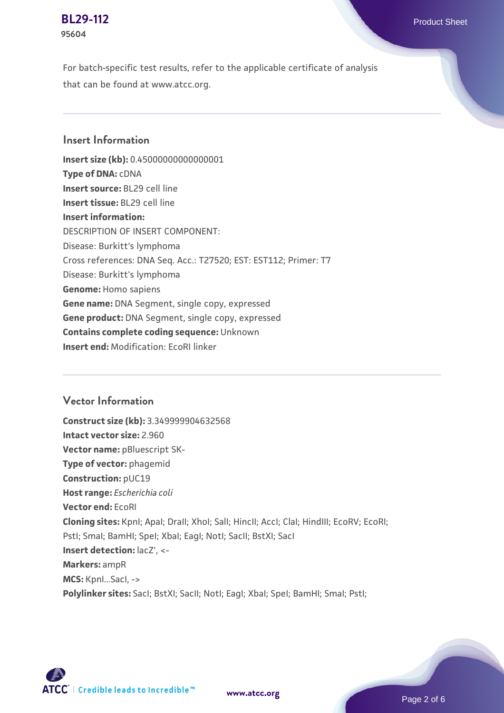#### **[BL29-112](https://www.atcc.org/products/95604)** Product Sheet **95604**

For batch-specific test results, refer to the applicable certificate of analysis that can be found at www.atcc.org.

# **Insert Information**

**Insert size (kb):** 0.45000000000000001 **Type of DNA:** cDNA **Insert source:** BL29 cell line **Insert tissue:** BL29 cell line **Insert information:** DESCRIPTION OF INSERT COMPONENT: Disease: Burkitt's lymphoma Cross references: DNA Seq. Acc.: T27520; EST: EST112; Primer: T7 Disease: Burkitt's lymphoma **Genome:** Homo sapiens **Gene name:** DNA Segment, single copy, expressed **Gene product:** DNA Segment, single copy, expressed **Contains complete coding sequence:** Unknown **Insert end:** Modification: EcoRI linker

### **Vector Information**

**Construct size (kb):** 3.349999904632568 **Intact vector size:** 2.960 **Vector name:** pBluescript SK-**Type of vector:** phagemid **Construction:** pUC19 **Host range:** *Escherichia coli* **Vector end:** EcoRI **Cloning sites:** KpnI; ApaI; DraII; XhoI; SalI; HincII; AccI; ClaI; HindIII; EcoRV; EcoRI; Pstl; Smal; BamHI; SpeI; XbaI; EagI; NotI; SacII; BstXI; SacI **Insert detection:** lacZ', <- **Markers:** ampR **MCS:** KpnI...SacI, -> **Polylinker sites:** SacI; BstXI; SacII; NotI; EagI; XbaI; SpeI; BamHI; SmaI; PstI;

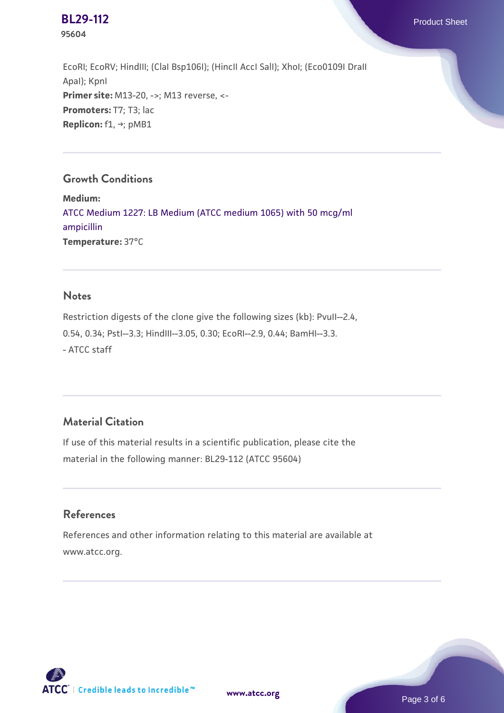**95604**

EcoRI; EcoRV; HindIII; (ClaI Bsp106I); (HincII AccI SalI); XhoI; (Eco0109I DraII ApaI); KpnI **Primer site:** M13-20, ->; M13 reverse, <-**Promoters:** T7; T3; lac **Replicon:** f1, →; pMB1

# **Growth Conditions**

**Medium:**  [ATCC Medium 1227: LB Medium \(ATCC medium 1065\) with 50 mcg/ml](https://www.atcc.org/-/media/product-assets/documents/microbial-media-formulations/1/2/2/7/atcc-medium-1227.pdf?rev=581c98603b3e4b29a6d62ee0ba9ca578) [ampicillin](https://www.atcc.org/-/media/product-assets/documents/microbial-media-formulations/1/2/2/7/atcc-medium-1227.pdf?rev=581c98603b3e4b29a6d62ee0ba9ca578) **Temperature:** 37°C

# **Notes**

Restriction digests of the clone give the following sizes (kb): PvuII--2.4, 0.54, 0.34; PstI--3.3; HindIII--3.05, 0.30; EcoRI--2.9, 0.44; BamHI--3.3. - ATCC staff

# **Material Citation**

If use of this material results in a scientific publication, please cite the material in the following manner: BL29-112 (ATCC 95604)

### **References**

References and other information relating to this material are available at www.atcc.org.

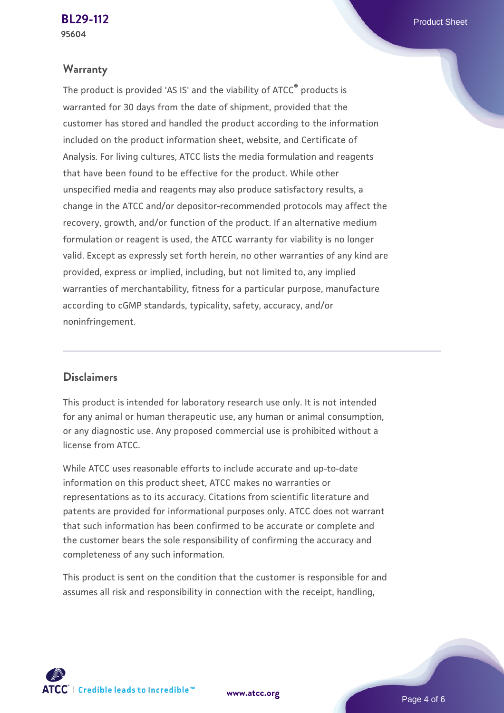#### **Warranty**

The product is provided 'AS IS' and the viability of ATCC® products is warranted for 30 days from the date of shipment, provided that the customer has stored and handled the product according to the information included on the product information sheet, website, and Certificate of Analysis. For living cultures, ATCC lists the media formulation and reagents that have been found to be effective for the product. While other unspecified media and reagents may also produce satisfactory results, a change in the ATCC and/or depositor-recommended protocols may affect the recovery, growth, and/or function of the product. If an alternative medium formulation or reagent is used, the ATCC warranty for viability is no longer valid. Except as expressly set forth herein, no other warranties of any kind are provided, express or implied, including, but not limited to, any implied warranties of merchantability, fitness for a particular purpose, manufacture according to cGMP standards, typicality, safety, accuracy, and/or noninfringement.

#### **Disclaimers**

This product is intended for laboratory research use only. It is not intended for any animal or human therapeutic use, any human or animal consumption, or any diagnostic use. Any proposed commercial use is prohibited without a license from ATCC.

While ATCC uses reasonable efforts to include accurate and up-to-date information on this product sheet, ATCC makes no warranties or representations as to its accuracy. Citations from scientific literature and patents are provided for informational purposes only. ATCC does not warrant that such information has been confirmed to be accurate or complete and the customer bears the sole responsibility of confirming the accuracy and completeness of any such information.

This product is sent on the condition that the customer is responsible for and assumes all risk and responsibility in connection with the receipt, handling,



**[www.atcc.org](http://www.atcc.org)**

Page 4 of 6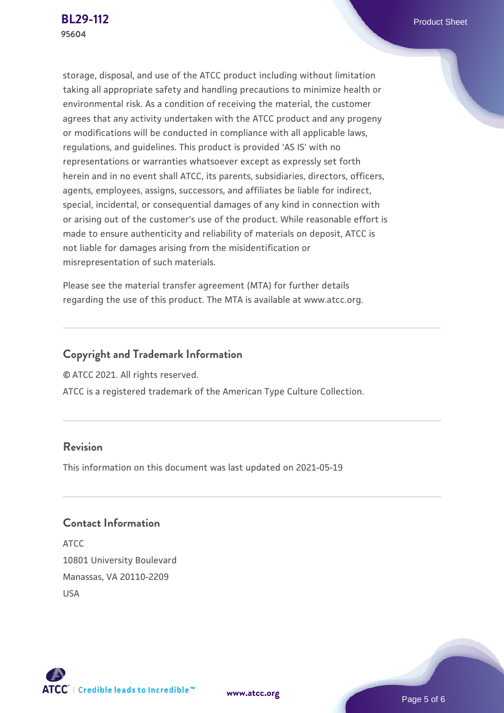storage, disposal, and use of the ATCC product including without limitation taking all appropriate safety and handling precautions to minimize health or environmental risk. As a condition of receiving the material, the customer agrees that any activity undertaken with the ATCC product and any progeny or modifications will be conducted in compliance with all applicable laws, regulations, and guidelines. This product is provided 'AS IS' with no representations or warranties whatsoever except as expressly set forth herein and in no event shall ATCC, its parents, subsidiaries, directors, officers, agents, employees, assigns, successors, and affiliates be liable for indirect, special, incidental, or consequential damages of any kind in connection with or arising out of the customer's use of the product. While reasonable effort is made to ensure authenticity and reliability of materials on deposit, ATCC is not liable for damages arising from the misidentification or misrepresentation of such materials.

Please see the material transfer agreement (MTA) for further details regarding the use of this product. The MTA is available at www.atcc.org.

# **Copyright and Trademark Information**

© ATCC 2021. All rights reserved.

ATCC is a registered trademark of the American Type Culture Collection.

### **Revision**

This information on this document was last updated on 2021-05-19

# **Contact Information**

ATCC 10801 University Boulevard Manassas, VA 20110-2209 USA